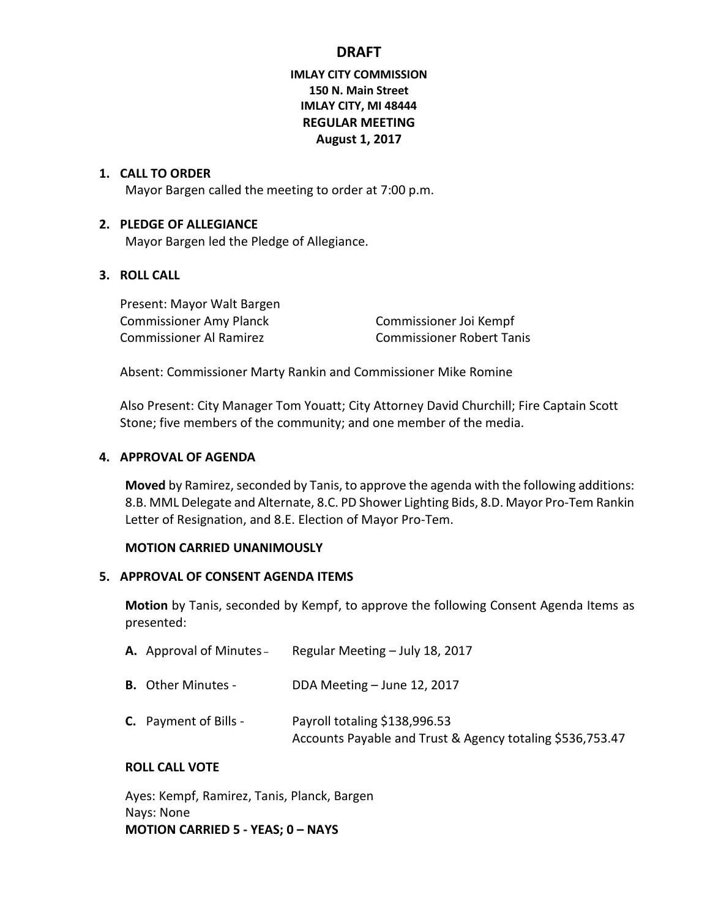# **IMLAY CITY COMMISSION 150 N. Main Street IMLAY CITY, MI 48444 REGULAR MEETING August 1, 2017**

### **1. CALL TO ORDER**

Mayor Bargen called the meeting to order at 7:00 p.m.

### **2. PLEDGE OF ALLEGIANCE**

Mayor Bargen led the Pledge of Allegiance.

## **3. ROLL CALL**

Present: Mayor Walt Bargen Commissioner Amy Planck Commissioner Joi Kempf Commissioner Al Ramirez Commissioner Robert Tanis

Absent: Commissioner Marty Rankin and Commissioner Mike Romine

Also Present: City Manager Tom Youatt; City Attorney David Churchill; Fire Captain Scott Stone; five members of the community; and one member of the media.

### **4. APPROVAL OF AGENDA**

**Moved** by Ramirez, seconded by Tanis, to approve the agenda with the following additions: 8.B. MML Delegate and Alternate, 8.C. PD Shower Lighting Bids, 8.D. Mayor Pro-Tem Rankin Letter of Resignation, and 8.E. Election of Mayor Pro-Tem.

#### **MOTION CARRIED UNANIMOUSLY**

#### **5. APPROVAL OF CONSENT AGENDA ITEMS**

**Motion** by Tanis, seconded by Kempf, to approve the following Consent Agenda Items as presented:

| A. Approval of Minutes -     | Regular Meeting - July 18, 2017                                                            |
|------------------------------|--------------------------------------------------------------------------------------------|
| <b>B.</b> Other Minutes -    | DDA Meeting - June 12, 2017                                                                |
| <b>C.</b> Payment of Bills - | Payroll totaling \$138,996.53<br>Accounts Payable and Trust & Agency totaling \$536,753.47 |

## **ROLL CALL VOTE**

Ayes: Kempf, Ramirez, Tanis, Planck, Bargen Nays: None **MOTION CARRIED 5 - YEAS; 0 – NAYS**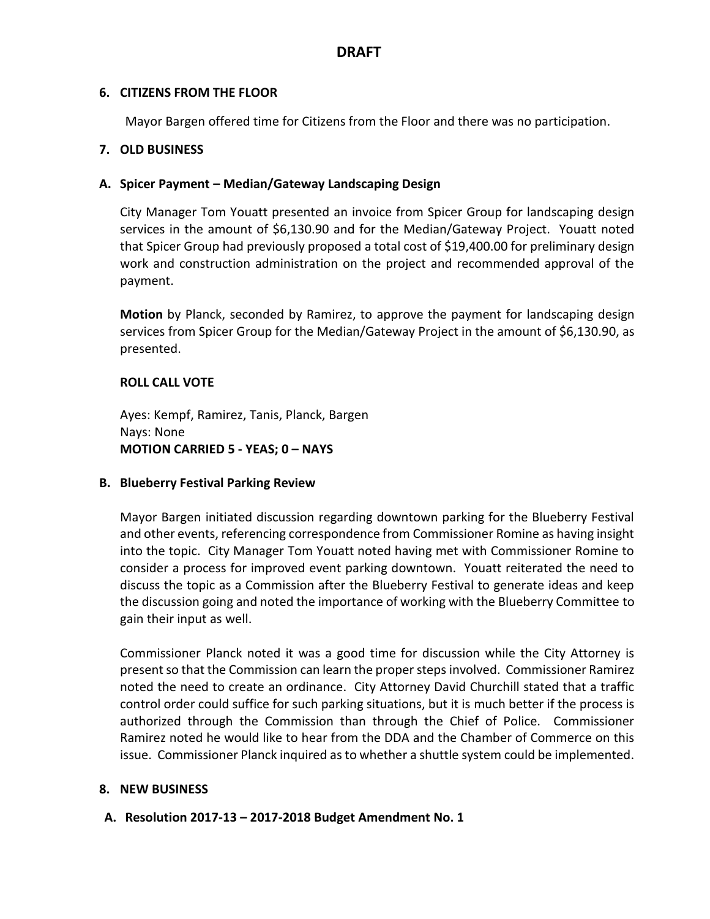# **6. CITIZENS FROM THE FLOOR**

Mayor Bargen offered time for Citizens from the Floor and there was no participation.

# **7. OLD BUSINESS**

## **A. Spicer Payment – Median/Gateway Landscaping Design**

City Manager Tom Youatt presented an invoice from Spicer Group for landscaping design services in the amount of \$6,130.90 and for the Median/Gateway Project. Youatt noted that Spicer Group had previously proposed a total cost of \$19,400.00 for preliminary design work and construction administration on the project and recommended approval of the payment.

**Motion** by Planck, seconded by Ramirez, to approve the payment for landscaping design services from Spicer Group for the Median/Gateway Project in the amount of \$6,130.90, as presented.

# **ROLL CALL VOTE**

Ayes: Kempf, Ramirez, Tanis, Planck, Bargen Nays: None **MOTION CARRIED 5 - YEAS; 0 – NAYS**

## **B. Blueberry Festival Parking Review**

Mayor Bargen initiated discussion regarding downtown parking for the Blueberry Festival and other events, referencing correspondence from Commissioner Romine as having insight into the topic. City Manager Tom Youatt noted having met with Commissioner Romine to consider a process for improved event parking downtown. Youatt reiterated the need to discuss the topic as a Commission after the Blueberry Festival to generate ideas and keep the discussion going and noted the importance of working with the Blueberry Committee to gain their input as well.

Commissioner Planck noted it was a good time for discussion while the City Attorney is present so that the Commission can learn the proper steps involved. Commissioner Ramirez noted the need to create an ordinance. City Attorney David Churchill stated that a traffic control order could suffice for such parking situations, but it is much better if the process is authorized through the Commission than through the Chief of Police. Commissioner Ramirez noted he would like to hear from the DDA and the Chamber of Commerce on this issue. Commissioner Planck inquired as to whether a shuttle system could be implemented.

## **8. NEW BUSINESS**

## **A. Resolution 2017-13 – 2017-2018 Budget Amendment No. 1**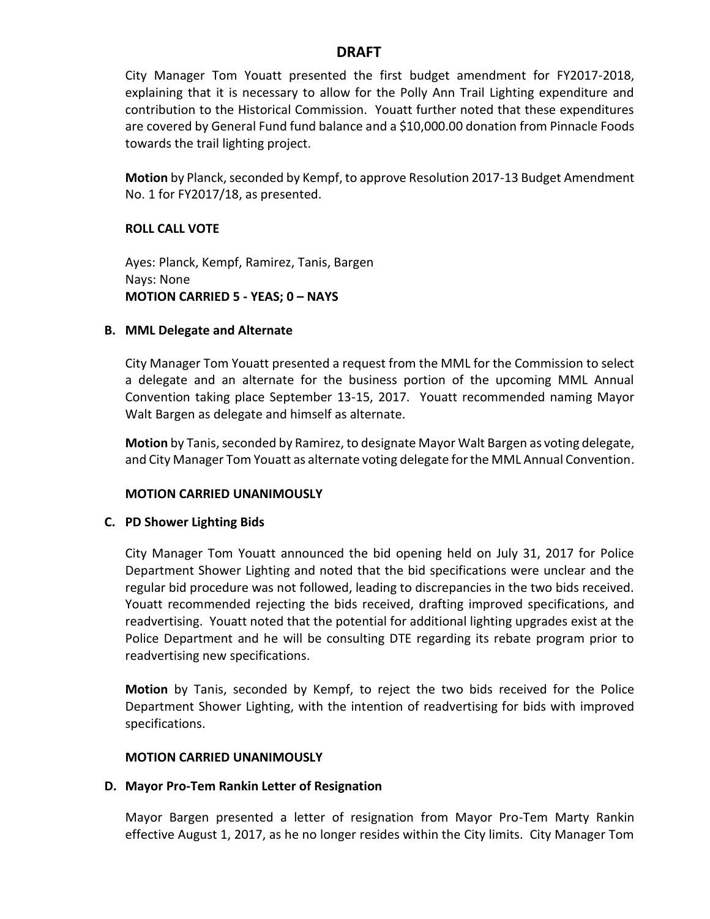City Manager Tom Youatt presented the first budget amendment for FY2017-2018, explaining that it is necessary to allow for the Polly Ann Trail Lighting expenditure and contribution to the Historical Commission. Youatt further noted that these expenditures are covered by General Fund fund balance and a \$10,000.00 donation from Pinnacle Foods towards the trail lighting project.

**Motion** by Planck, seconded by Kempf, to approve Resolution 2017-13 Budget Amendment No. 1 for FY2017/18, as presented.

### **ROLL CALL VOTE**

Ayes: Planck, Kempf, Ramirez, Tanis, Bargen Nays: None **MOTION CARRIED 5 - YEAS; 0 – NAYS**

#### **B. MML Delegate and Alternate**

City Manager Tom Youatt presented a request from the MML for the Commission to select a delegate and an alternate for the business portion of the upcoming MML Annual Convention taking place September 13-15, 2017. Youatt recommended naming Mayor Walt Bargen as delegate and himself as alternate.

**Motion** by Tanis, seconded by Ramirez, to designate Mayor Walt Bargen as voting delegate, and City Manager Tom Youatt as alternate voting delegate for the MML Annual Convention.

## **MOTION CARRIED UNANIMOUSLY**

#### **C. PD Shower Lighting Bids**

City Manager Tom Youatt announced the bid opening held on July 31, 2017 for Police Department Shower Lighting and noted that the bid specifications were unclear and the regular bid procedure was not followed, leading to discrepancies in the two bids received. Youatt recommended rejecting the bids received, drafting improved specifications, and readvertising. Youatt noted that the potential for additional lighting upgrades exist at the Police Department and he will be consulting DTE regarding its rebate program prior to readvertising new specifications.

**Motion** by Tanis, seconded by Kempf, to reject the two bids received for the Police Department Shower Lighting, with the intention of readvertising for bids with improved specifications.

#### **MOTION CARRIED UNANIMOUSLY**

#### **D. Mayor Pro-Tem Rankin Letter of Resignation**

Mayor Bargen presented a letter of resignation from Mayor Pro-Tem Marty Rankin effective August 1, 2017, as he no longer resides within the City limits. City Manager Tom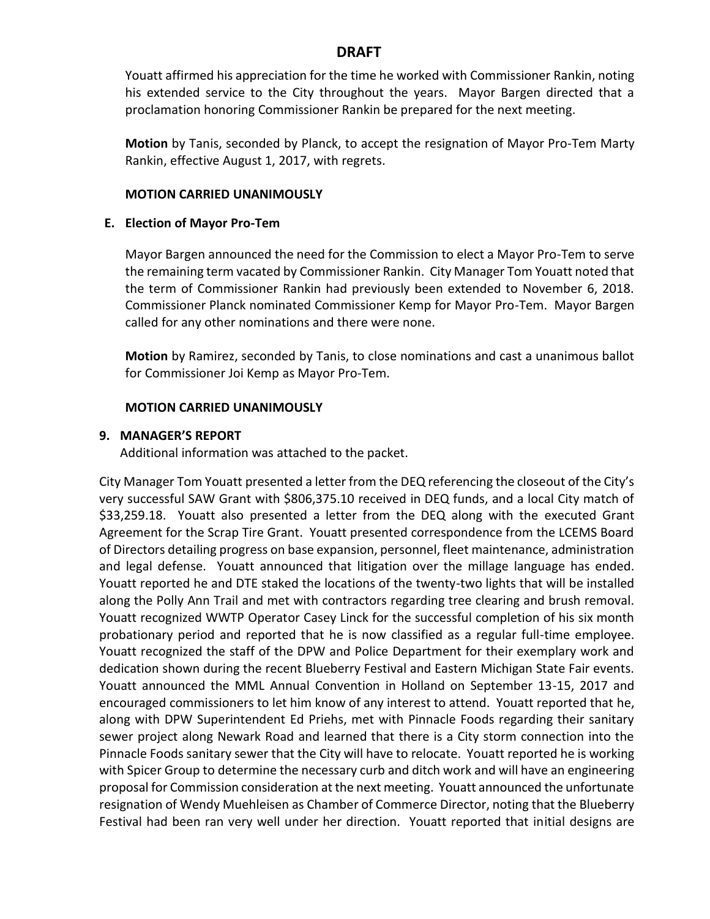Youatt affirmed his appreciation for the time he worked with Commissioner Rankin, noting his extended service to the City throughout the years. Mayor Bargen directed that a proclamation honoring Commissioner Rankin be prepared for the next meeting.

**Motion** by Tanis, seconded by Planck, to accept the resignation of Mayor Pro-Tem Marty Rankin, effective August 1, 2017, with regrets.

### **MOTION CARRIED UNANIMOUSLY**

## **E. Election of Mayor Pro-Tem**

Mayor Bargen announced the need for the Commission to elect a Mayor Pro-Tem to serve the remaining term vacated by Commissioner Rankin. City Manager Tom Youatt noted that the term of Commissioner Rankin had previously been extended to November 6, 2018. Commissioner Planck nominated Commissioner Kemp for Mayor Pro-Tem. Mayor Bargen called for any other nominations and there were none.

**Motion** by Ramirez, seconded by Tanis, to close nominations and cast a unanimous ballot for Commissioner Joi Kemp as Mayor Pro-Tem.

### **MOTION CARRIED UNANIMOUSLY**

### **9. MANAGER'S REPORT**

Additional information was attached to the packet.

City Manager Tom Youatt presented a letter from the DEQ referencing the closeout of the City's very successful SAW Grant with \$806,375.10 received in DEQ funds, and a local City match of \$33,259.18. Youatt also presented a letter from the DEQ along with the executed Grant Agreement for the Scrap Tire Grant. Youatt presented correspondence from the LCEMS Board of Directors detailing progress on base expansion, personnel, fleet maintenance, administration and legal defense. Youatt announced that litigation over the millage language has ended. Youatt reported he and DTE staked the locations of the twenty-two lights that will be installed along the Polly Ann Trail and met with contractors regarding tree clearing and brush removal. Youatt recognized WWTP Operator Casey Linck for the successful completion of his six month probationary period and reported that he is now classified as a regular full-time employee. Youatt recognized the staff of the DPW and Police Department for their exemplary work and dedication shown during the recent Blueberry Festival and Eastern Michigan State Fair events. Youatt announced the MML Annual Convention in Holland on September 13-15, 2017 and encouraged commissioners to let him know of any interest to attend. Youatt reported that he, along with DPW Superintendent Ed Priehs, met with Pinnacle Foods regarding their sanitary sewer project along Newark Road and learned that there is a City storm connection into the Pinnacle Foods sanitary sewer that the City will have to relocate. Youatt reported he is working with Spicer Group to determine the necessary curb and ditch work and will have an engineering proposal for Commission consideration at the next meeting. Youatt announced the unfortunate resignation of Wendy Muehleisen as Chamber of Commerce Director, noting that the Blueberry Festival had been ran very well under her direction. Youatt reported that initial designs are